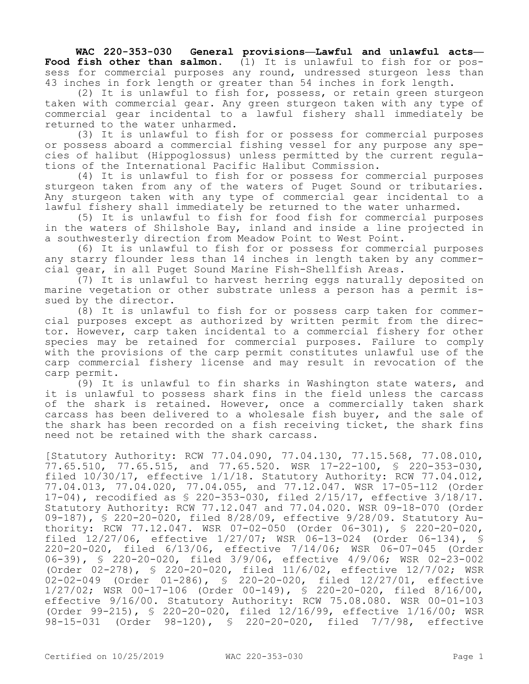**WAC 220-353-030 General provisions—Lawful and unlawful acts— Food fish other than salmon.** (1) It is unlawful to fish for or possess for commercial purposes any round, undressed sturgeon less than 43 inches in fork length or greater than 54 inches in fork length.

(2) It is unlawful to fish for, possess, or retain green sturgeon taken with commercial gear. Any green sturgeon taken with any type of commercial gear incidental to a lawful fishery shall immediately be returned to the water unharmed.

(3) It is unlawful to fish for or possess for commercial purposes or possess aboard a commercial fishing vessel for any purpose any species of halibut (Hippoglossus) unless permitted by the current regulations of the International Pacific Halibut Commission.

(4) It is unlawful to fish for or possess for commercial purposes sturgeon taken from any of the waters of Puget Sound or tributaries. Any sturgeon taken with any type of commercial gear incidental to a lawful fishery shall immediately be returned to the water unharmed.

(5) It is unlawful to fish for food fish for commercial purposes in the waters of Shilshole Bay, inland and inside a line projected in a southwesterly direction from Meadow Point to West Point.

(6) It is unlawful to fish for or possess for commercial purposes any starry flounder less than 14 inches in length taken by any commercial gear, in all Puget Sound Marine Fish-Shellfish Areas.

(7) It is unlawful to harvest herring eggs naturally deposited on marine vegetation or other substrate unless a person has a permit issued by the director.

(8) It is unlawful to fish for or possess carp taken for commercial purposes except as authorized by written permit from the director. However, carp taken incidental to a commercial fishery for other species may be retained for commercial purposes. Failure to comply with the provisions of the carp permit constitutes unlawful use of the carp commercial fishery license and may result in revocation of the carp permit.

(9) It is unlawful to fin sharks in Washington state waters, and it is unlawful to possess shark fins in the field unless the carcass of the shark is retained. However, once a commercially taken shark carcass has been delivered to a wholesale fish buyer, and the sale of the shark has been recorded on a fish receiving ticket, the shark fins need not be retained with the shark carcass.

[Statutory Authority: RCW 77.04.090, 77.04.130, 77.15.568, 77.08.010, 77.65.510, 77.65.515, and 77.65.520. WSR 17-22-100, § 220-353-030, filed 10/30/17, effective 1/1/18. Statutory Authority: RCW 77.04.012, 77.04.013, 77.04.020, 77.04.055, and 77.12.047. WSR 17-05-112 (Order 17-04), recodified as § 220-353-030, filed 2/15/17, effective 3/18/17. Statutory Authority: RCW 77.12.047 and 77.04.020. WSR 09-18-070 (Order 09-187), § 220-20-020, filed 8/28/09, effective 9/28/09. Statutory Authority: RCW 77.12.047. WSR 07-02-050 (Order 06-301), § 220-20-020, filed 12/27/06, effective 1/27/07; WSR 06-13-024 (Order 06-134), § 220-20-020, filed 6/13/06, effective 7/14/06; WSR 06-07-045 (Order 06-39), § 220-20-020, filed 3/9/06, effective 4/9/06; WSR 02-23-002 (Order 02-278), § 220-20-020, filed 11/6/02, effective 12/7/02; WSR 02-02-049 (Order 01-286), § 220-20-020, filed 12/27/01, effective 1/27/02; WSR 00-17-106 (Order 00-149), § 220-20-020, filed 8/16/00, effective 9/16/00. Statutory Authority: RCW 75.08.080. WSR 00-01-103 (Order 99-215), § 220-20-020, filed 12/16/99, effective 1/16/00; WSR 98-15-031 (Order 98-120), § 220-20-020, filed 7/7/98, effective